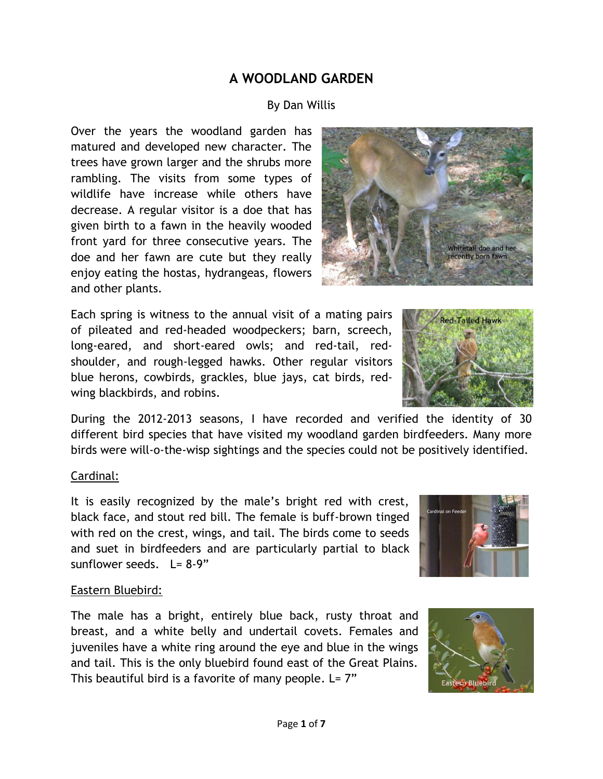# **A WOODLAND GARDEN**

## By Dan Willis

Over the years the woodland garden has matured and developed new character. The trees have grown larger and the shrubs more rambling. The visits from some types of wildlife have increase while others have decrease. A regular visitor is a doe that has given birth to a fawn in the heavily wooded front yard for three consecutive years. The doe and her fawn are cute but they really enjoy eating the hostas, hydrangeas, flowers and other plants.

Each spring is witness to the annual visit of a mating pairs of pileated and red-headed woodpeckers; barn, screech, long-eared, and short-eared owls; and red-tail, redshoulder, and rough-legged hawks. Other regular visitors blue herons, cowbirds, grackles, blue jays, cat birds, redwing blackbirds, and robins.

**Red-Tailed Hawk** 

During the 2012-2013 seasons, I have recorded and verified the identity of 30 different bird species that have visited my woodland garden birdfeeders. Many more birds were will-o-the-wisp sightings and the species could not be positively identified.

## Cardinal:

It is easily recognized by the male's bright red with crest, black face, and stout red bill. The female is buff-brown tinged with red on the crest, wings, and tail. The birds come to seeds and suet in birdfeeders and are particularly partial to black sunflower seeds.  $L = 8-9"$ 



#### Eastern Bluebird:

The male has a bright, entirely blue back, rusty throat and breast, and a white belly and undertail covets. Females and juveniles have a white ring around the eye and blue in the wings and tail. This is the only bluebird found east of the Great Plains. This beautiful bird is a favorite of many people.  $L = 7"$ 



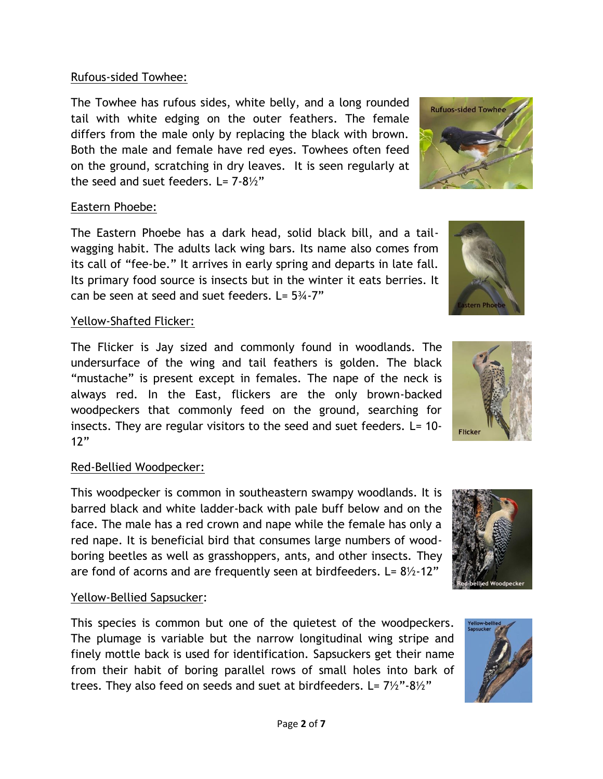## Rufous-sided Towhee:

The Towhee has rufous sides, white belly, and a long rounded tail with white edging on the outer feathers. The female differs from the male only by replacing the black with brown. Both the male and female have red eyes. Towhees often feed on the ground, scratching in dry leaves. It is seen regularly at the seed and suet feeders.  $L = 7-8\frac{1}{2}$ 

## Eastern Phoebe:

The Eastern Phoebe has a dark head, solid black bill, and a tailwagging habit. The adults lack wing bars. Its name also comes from its call of "fee-be." It arrives in early spring and departs in late fall. Its primary food source is insects but in the winter it eats berries. It can be seen at seed and suet feeders.  $L = 5\frac{3}{4} - 7"$ 

# Yellow-Shafted Flicker:

The Flicker is Jay sized and commonly found in woodlands. The undersurface of the wing and tail feathers is golden. The black "mustache" is present except in females. The nape of the neck is always red. In the East, flickers are the only brown-backed woodpeckers that commonly feed on the ground, searching for insects. They are regular visitors to the seed and suet feeders. L= 10- $12"$ 

# Red-Bellied Woodpecker:

This woodpecker is common in southeastern swampy woodlands. It is barred black and white ladder-back with pale buff below and on the face. The male has a red crown and nape while the female has only a red nape. It is beneficial bird that consumes large numbers of woodboring beetles as well as grasshoppers, ants, and other insects. They are fond of acorns and are frequently seen at birdfeeders. L=  $8\frac{1}{2}$  12"

# Yellow-Bellied Sapsucker:

This species is common but one of the quietest of the woodpeckers. The plumage is variable but the narrow longitudinal wing stripe and finely mottle back is used for identification. Sapsuckers get their name from their habit of boring parallel rows of small holes into bark of trees. They also feed on seeds and suet at birdfeeders. L=  $7\frac{1}{2}$ "-8 $\frac{1}{2}$ "









tern Phoeb

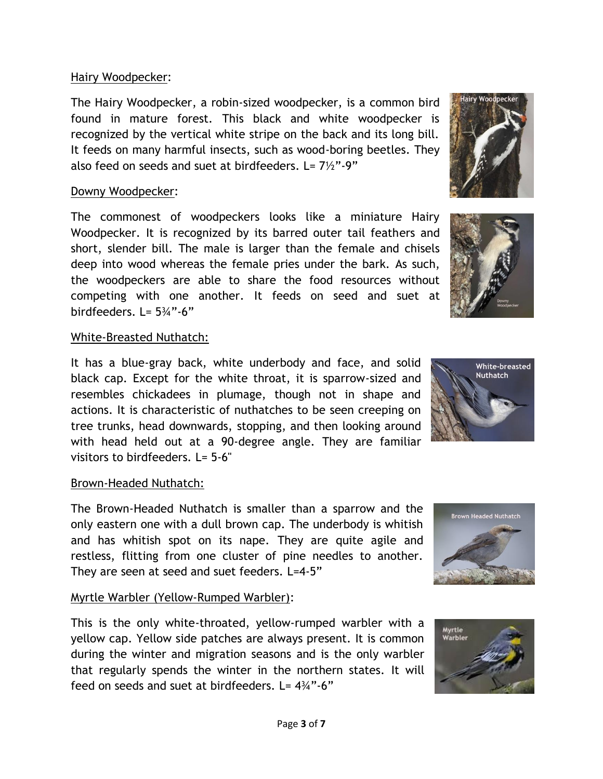### Hairy Woodpecker:

The Hairy Woodpecker, a robin-sized woodpecker, is a common bird found in mature forest. This black and white woodpecker is recognized by the vertical white stripe on the back and its long bill. It feeds on many harmful insects, such as wood-boring beetles. They also feed on seeds and suet at birdfeeders.  $L = 7\frac{1}{2}$ "-9"

## Downy Woodpecker:

The commonest of woodpeckers looks like a miniature Hairy Woodpecker. It is recognized by its barred outer tail feathers and short, slender bill. The male is larger than the female and chisels deep into wood whereas the female pries under the bark. As such, the woodpeckers are able to share the food resources without competing with one another. It feeds on seed and suet at birdfeeders. L= 5¾"-6"

## White-Breasted Nuthatch:

It has a blue-gray back, white underbody and face, and solid black cap. Except for the white throat, it is sparrow-sized and resembles chickadees in plumage, though not in shape and actions. It is characteristic of nuthatches to be seen creeping on tree trunks, head downwards, stopping, and then looking around with head held out at a 90-degree angle. They are familiar visitors to birdfeeders.  $I = 5.6"$ 

## Brown-Headed Nuthatch:

The Brown-Headed Nuthatch is smaller than a sparrow and the only eastern one with a dull brown cap. The underbody is whitish and has whitish spot on its nape. They are quite agile and restless, flitting from one cluster of pine needles to another. They are seen at seed and suet feeders. L=4-5"

# Myrtle Warbler (Yellow-Rumped Warbler):

This is the only white-throated, yellow-rumped warbler with a yellow cap. Yellow side patches are always present. It is common during the winter and migration seasons and is the only warbler that regularly spends the winter in the northern states. It will feed on seeds and suet at birdfeeders.  $L = 4\frac{3}{4}$ "-6"









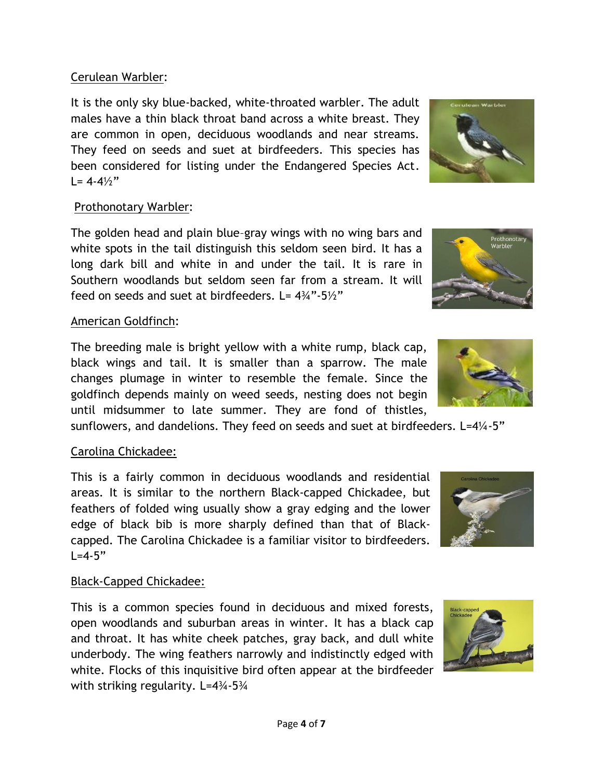## Cerulean Warbler:

It is the only sky blue-backed, white-throated warbler. The adult males have a thin black throat band across a white breast. They are common in open, deciduous woodlands and near streams. They feed on seeds and suet at birdfeeders. This species has been considered for listing under the Endangered Species Act.  $L = 4-4\frac{1}{2}$ 

## Prothonotary Warbler:

The golden head and plain blue–gray wings with no wing bars and white spots in the tail distinguish this seldom seen bird. It has a long dark bill and white in and under the tail. It is rare in Southern woodlands but seldom seen far from a stream. It will feed on seeds and suet at birdfeeders. L=  $4\frac{3}{4}$ "-5 $\frac{1}{2}$ "

## American Goldfinch:

The breeding male is bright yellow with a white rump, black cap, black wings and tail. It is smaller than a sparrow. The male changes plumage in winter to resemble the female. Since the goldfinch depends mainly on weed seeds, nesting does not begin until midsummer to late summer. They are fond of thistles,

sunflowers, and dandelions. They feed on seeds and suet at birdfeeders. L=4¼-5"

# Carolina Chickadee:

This is a fairly common in deciduous woodlands and residential areas. It is similar to the northern Black-capped Chickadee, but feathers of folded wing usually show a gray edging and the lower edge of black bib is more sharply defined than that of Blackcapped. The Carolina Chickadee is a familiar visitor to birdfeeders.  $L = 4 - 5"$ 

# Black-Capped Chickadee:

This is a common species found in deciduous and mixed forests, open woodlands and suburban areas in winter. It has a black cap and throat. It has white cheek patches, gray back, and dull white underbody. The wing feathers narrowly and indistinctly edged with white. Flocks of this inquisitive bird often appear at the birdfeeder with striking regularity. L=4¼-5¼







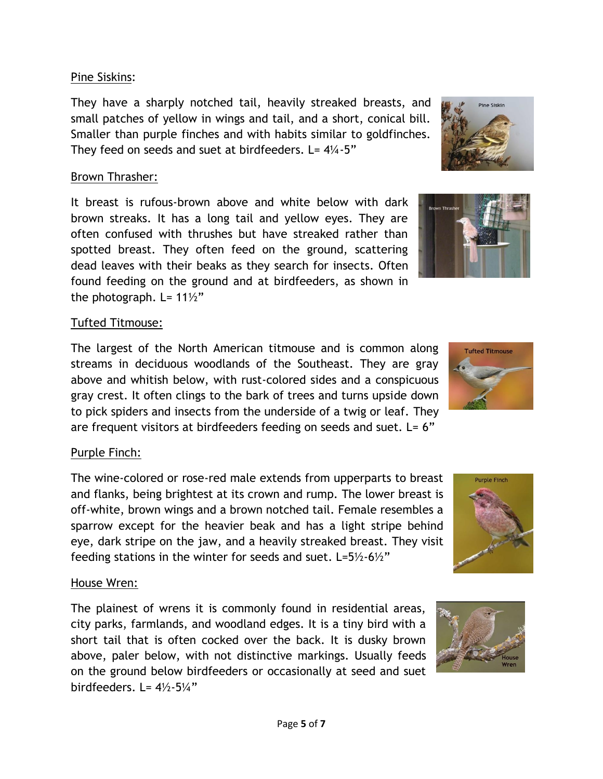#### Pine Siskins:

They have a sharply notched tail, heavily streaked breasts, and small patches of yellow in wings and tail, and a short, conical bill. Smaller than purple finches and with habits similar to goldfinches. They feed on seeds and suet at birdfeeders.  $L = 4\frac{1}{4} - 5$ "

## Brown Thrasher:

It breast is rufous-brown above and white below with dark brown streaks. It has a long tail and yellow eyes. They are often confused with thrushes but have streaked rather than spotted breast. They often feed on the ground, scattering dead leaves with their beaks as they search for insects. Often found feeding on the ground and at birdfeeders, as shown in the photograph. L=  $11\frac{1}{2}$ "

## Tufted Titmouse:

The largest of the North American titmouse and is common along streams in deciduous woodlands of the Southeast. They are gray above and whitish below, with rust-colored sides and a conspicuous gray crest. It often clings to the bark of trees and turns upside down to pick spiders and insects from the underside of a twig or leaf. They are frequent visitors at birdfeeders feeding on seeds and suet.  $L = 6"$ 

# Purple Finch:

The wine-colored or rose-red male extends from upperparts to breast and flanks, being brightest at its crown and rump. The lower breast is off-white, brown wings and a brown notched tail. Female resembles a sparrow except for the heavier beak and has a light stripe behind eye, dark stripe on the jaw, and a heavily streaked breast. They visit feeding stations in the winter for seeds and suet. L=5½-6½"

## House Wren:

The plainest of wrens it is commonly found in residential areas, city parks, farmlands, and woodland edges. It is a tiny bird with a short tail that is often cocked over the back. It is dusky brown above, paler below, with not distinctive markings. Usually feeds on the ground below birdfeeders or occasionally at seed and suet birdfeeders. L=  $4\frac{1}{2}$ -5 $\frac{1}{4}$ "







**Pine Siskin** 

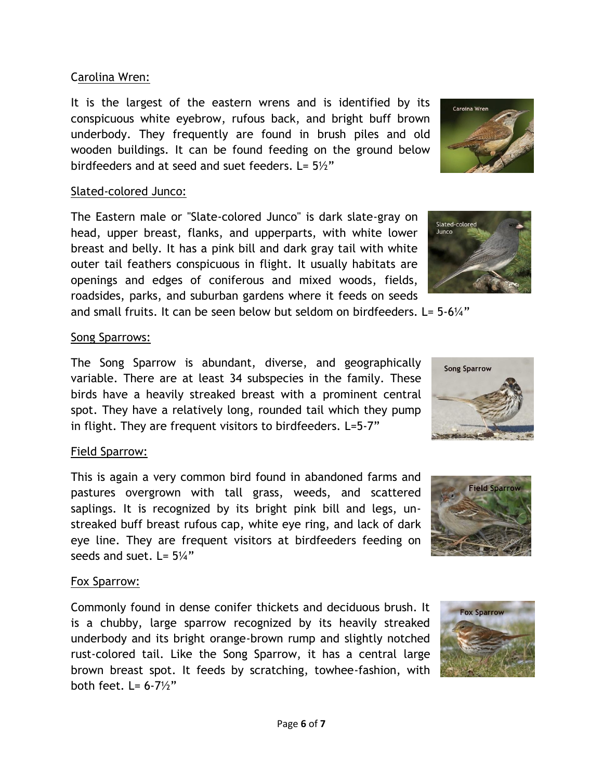#### Carolina Wren:

It is the largest of the eastern wrens and is identified by its conspicuous white eyebrow, rufous back, and bright buff brown underbody. They frequently are found in brush piles and old wooden buildings. It can be found feeding on the ground below birdfeeders and at seed and suet feeders.  $L = 5\frac{1}{2}$ "

#### Slated-colored Junco:

The Eastern male or "Slate-colored Junco" is dark slate-gray on head, upper breast, flanks, and upperparts, with white lower breast and belly. It has a pink bill and dark gray tail with white outer tail feathers conspicuous in flight. It usually habitats are openings and edges of coniferous and mixed woods, fields, roadsides, parks, and suburban gardens where it feeds on seeds

and small fruits. It can be seen below but seldom on birdfeeders.  $L = 5.6\frac{1}{4}$ "

## Song Sparrows:

The Song Sparrow is abundant, diverse, and geographically variable. There are at least 34 subspecies in the family. These birds have a heavily streaked breast with a prominent central spot. They have a relatively long, rounded tail which they pump in flight. They are frequent visitors to birdfeeders. L=5-7"

# Field Sparrow:

This is again a very common bird found in abandoned farms and pastures overgrown with tall grass, weeds, and scattered saplings. It is recognized by its bright pink bill and legs, unstreaked buff breast rufous cap, white eye ring, and lack of dark eye line. They are frequent visitors at birdfeeders feeding on seeds and suet.  $L = 5\frac{1}{4}$ "

# Fox Sparrow:

Commonly found in dense conifer thickets and deciduous brush. It is a chubby, large sparrow recognized by its heavily streaked underbody and its bright orange-brown rump and slightly notched rust-colored tail. Like the Song Sparrow, it has a central large brown breast spot. It feeds by scratching, towhee-fashion, with both feet.  $I = 6-7\frac{1}{2}$ 



Caroina Wren